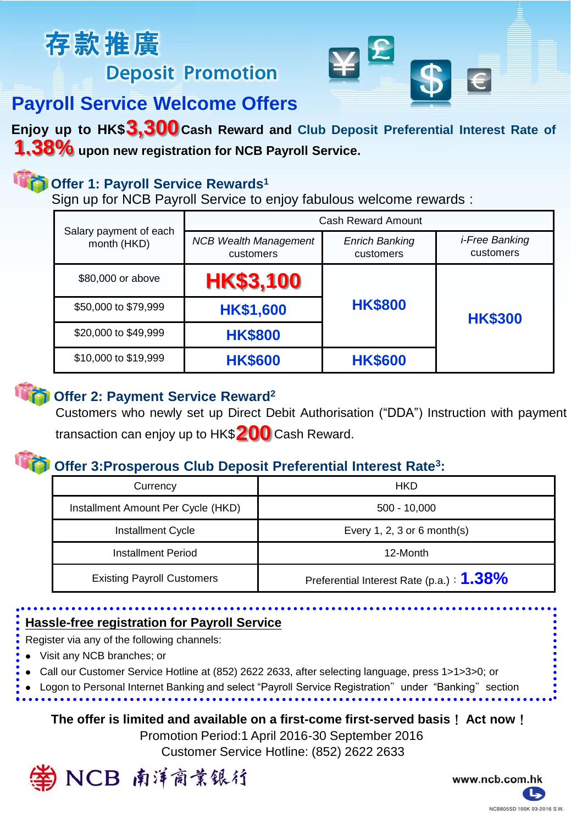# 存款推廣 **Deposit Promotion**



## **Payroll Service Welcome Offers**

**Enjoy up to HK\$ Cash Reward and Club Deposit Preferential Interest Rate of 3,300 upon new registration for NCB Payroll Service. 1.38%**

## **Offer 1: Payroll Service Rewards<sup>1</sup>**

Sign up for NCB Payroll Service to enjoy fabulous welcome rewards :

| Salary payment of each<br>month (HKD) | Cash Reward Amount                        |                                    |                                    |
|---------------------------------------|-------------------------------------------|------------------------------------|------------------------------------|
|                                       | <b>NCB Wealth Management</b><br>customers | <b>Enrich Banking</b><br>customers | <i>i-Free Banking</i><br>customers |
| \$80,000 or above                     | <b>HK\$3,100</b>                          | <b>HK\$800</b>                     | <b>HK\$300</b>                     |
| \$50,000 to \$79,999                  | <b>HK\$1,600</b>                          |                                    |                                    |
| \$20,000 to \$49,999                  | <b>HK\$800</b>                            |                                    |                                    |
| \$10,000 to \$19,999                  | <b>HK\$600</b>                            | <b>HK\$600</b>                     |                                    |



### **Offer 2: Payment Service Reward<sup>2</sup>**

Customers who newly set up Direct Debit Authorisation ("DDA") Instruction with payment transaction can enjoy up to HK\$ **200** Cash Reward.

## **Offer 3:Prosperous Club Deposit Preferential Interest Rate<sup>3</sup> :**

| Currency                           | HKD                                       |
|------------------------------------|-------------------------------------------|
| Installment Amount Per Cycle (HKD) | $500 - 10,000$                            |
| Installment Cycle                  | Every 1, 2, 3 or 6 month(s)               |
| Installment Period                 | 12-Month                                  |
| <b>Existing Payroll Customers</b>  | Preferential Interest Rate (p.a.) : 1.38% |

## **Hassle-free registration for Payroll Service**

Register via any of the following channels:

- Visit any NCB branches; or
- Call our Customer Service Hotline at (852) 2622 2633, after selecting language, press 1>1>3>0; or

Logon to Personal Internet Banking and select "Payroll Service Registration" under "Banking" section

### **The offer is limited and available on a first-come first-served basis**! **Act now**!

Customer Service Hotline: (852) 2622 2633 Promotion Period:1 April 2016-30 September 2016



www.ncb.com.hk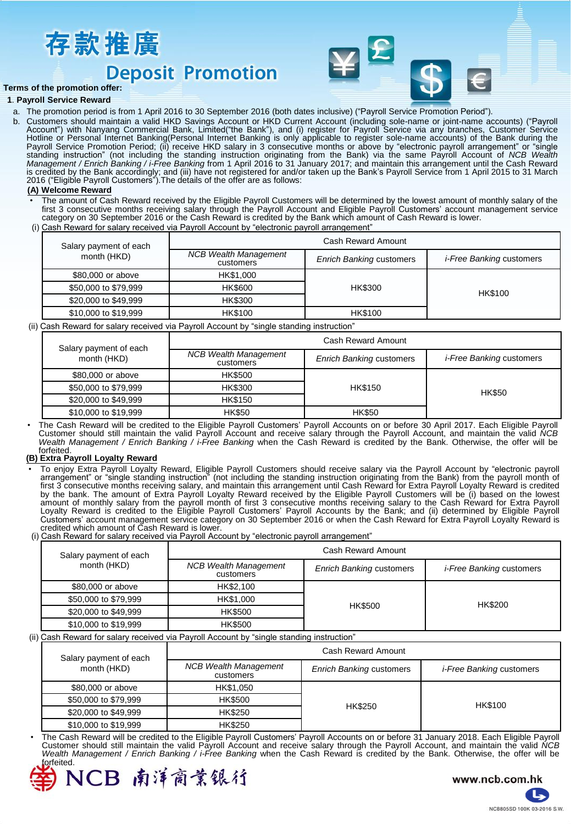

## **Deposit Promotion**



#### **Terms of the promotion offer:**

#### **1**. **Payroll Service Reward**

- a. The promotion period is from 1 April 2016 to 30 September 2016 (both dates inclusive) ("Payroll Service Promotion Period").
- b. Customers should maintain a valid HKD Savings Account or HKD Current Account (including sole-name or joint-name accounts) ("Payroll<br>Account") with Nanyang Commercial Bank, Limited("the Bank"), and (i) register for Payro Hotline or Personal Internet Banking(Personal Internet Banking is only applicable to register sole-name accounts) of the Bank during the Payroll Service Promotion Period; (ii) receive HKD salary in 3 consecutive months or above by "electronic payroll arrangement" or "single<br>standing instruction" (not including the standing instruction originating from the B *Management / Enrich Banking / i-Free Banking* from 1 April 2016 to 31 January 2017; and maintain this arrangement until the Cash Reward is credited by the Bank accordingly; and (iii) have not registered for and/or taken up the Bank's Payroll Service from 1 April 2015 to 31 March 2016 ("Eligible Payroll Customers").The details of the offer are as follows:

#### **(A) Welcome Reward**

- The amount of Cash Reward received by the Eligible Payroll Customers will be determined by the lowest amount of monthly salary of the<br>first 3 consecutive months receiving salary through the Payroll Account and Eligible Pay category on 30 September 2016 or the Cash Reward is credited by the Bank which amount of Cash Reward is lower.
- (i) Cash Reward for salary received via Payroll Account by "electronic payroll arrangement"

| Salary payment of each<br>month (HKD) | Cash Reward Amount                        |                                 |                                 |
|---------------------------------------|-------------------------------------------|---------------------------------|---------------------------------|
|                                       | <b>NCB Wealth Management</b><br>customers | <b>Enrich Banking customers</b> | <i>i-Free Banking customers</i> |
| \$80,000 or above                     | HK\$1,000                                 | <b>HK\$300</b>                  |                                 |
| \$50,000 to \$79,999                  | <b>HK\$600</b>                            |                                 | HK\$100                         |
| \$20,000 to \$49,999                  | <b>HK\$300</b>                            |                                 |                                 |
| \$10,000 to \$19,999                  | <b>HK\$100</b>                            | <b>HK\$100</b>                  |                                 |

(ii) Cash Reward for salary received via Payroll Account by "single standing instruction"

| Salary payment of each<br>month (HKD) | Cash Reward Amount                        |                                 |                                 |
|---------------------------------------|-------------------------------------------|---------------------------------|---------------------------------|
|                                       | <b>NCB Wealth Management</b><br>customers | <b>Enrich Banking customers</b> | <i>i-Free Banking customers</i> |
| \$80,000 or above                     | <b>HK\$500</b>                            | <b>HK\$150</b>                  |                                 |
| \$50,000 to \$79,999                  | HK\$300                                   |                                 | <b>HK\$50</b>                   |
| \$20,000 to \$49,999                  | <b>HK\$150</b>                            |                                 |                                 |
| \$10,000 to \$19,999                  | <b>HK\$50</b>                             | <b>HK\$50</b>                   |                                 |

• The Cash Reward will be credited to the Eligible Payroll Customers' Payroll Accounts on or before 30 April 2017. Each Eligible Payroll Customer should still maintain the valid Payroll Account and receive salary through the Payroll Account, and maintain the valid *NCB Wealth Management / Enrich Banking / i-Free Banking* when the Cash Reward is credited by the Bank. Otherwise, the offer will be forfeited.

#### **(B) Extra Payroll Loyalty Reward**

- To enjoy Extra Payroll Loyalty Reward, Eligible Payroll Customers should receive salary via the Payroll Account by "electronic payroll<br>arrangement" or "single standing instruction" (not including the standing instruction o first 3 consecutive months receiving salary, and maintain this arrangement until Cash Reward for Extra Payroll Loyalty Reward is credited by the bank. The amount of Extra Payroll Loyalty Reward received by the Eligible Payroll Customers will be (i) based on the lowest<br>amount of monthly salary from the payroll month of first 3 consecutive months receiving sal Loyalty Reward is credited to the Eligible Payroll Customers' Payroll Accounts by the Bank; and (ii) determined by Eligible Payroll Customers' account management service category on 30 September 2016 or when the Cash Reward for Extra Payroll Loyalty Reward is credited which amount of Cash Reward is lower.
- (i) Cash Reward for salary received via Payroll Account by "electronic payroll arrangement"

| Salary payment of each<br>month (HKD) | Cash Reward Amount                        |                                 |                                 |
|---------------------------------------|-------------------------------------------|---------------------------------|---------------------------------|
|                                       | <b>NCB Wealth Management</b><br>customers | <b>Enrich Banking customers</b> | <i>i-Free Banking customers</i> |
| \$80,000 or above                     | HK\$2,100                                 | <b>HK\$500</b>                  | HK\$200                         |
| \$50,000 to \$79,999                  | HK\$1,000                                 |                                 |                                 |
| \$20,000 to \$49,999                  | <b>HK\$500</b>                            |                                 |                                 |
| \$10,000 to \$19,999                  | <b>HK\$500</b>                            |                                 |                                 |

#### (ii) Cash Reward for salary received via Payroll Account by "single standing instruction"

| Salary payment of each<br>month (HKD) | Cash Reward Amount                        |                                 |                                 |
|---------------------------------------|-------------------------------------------|---------------------------------|---------------------------------|
|                                       | <b>NCB Wealth Management</b><br>customers | <b>Enrich Banking customers</b> | <i>i-Free Banking customers</i> |
| \$80,000 or above                     | HK\$1,050                                 | <b>HK\$250</b>                  | HK\$100                         |
| \$50,000 to \$79,999                  | <b>HK\$500</b>                            |                                 |                                 |
| \$20,000 to \$49,999                  | <b>HK\$250</b>                            |                                 |                                 |
| \$10,000 to \$19,999                  | <b>HK\$250</b>                            |                                 |                                 |

• The Cash Reward will be credited to the Eligible Payroll Customers' Payroll Accounts on or before 31 January 2018. Each Eligible Payroll Customer should still maintain the valid Payroll Account and receive salary through the Payroll Account, and maintain the valid *NCB Wealth Management / Enrich Banking / i-Free Banking* when the Cash Reward is credited by the Bank. Otherwise, the offer will be iorfeited.



www.ncb.com.hk